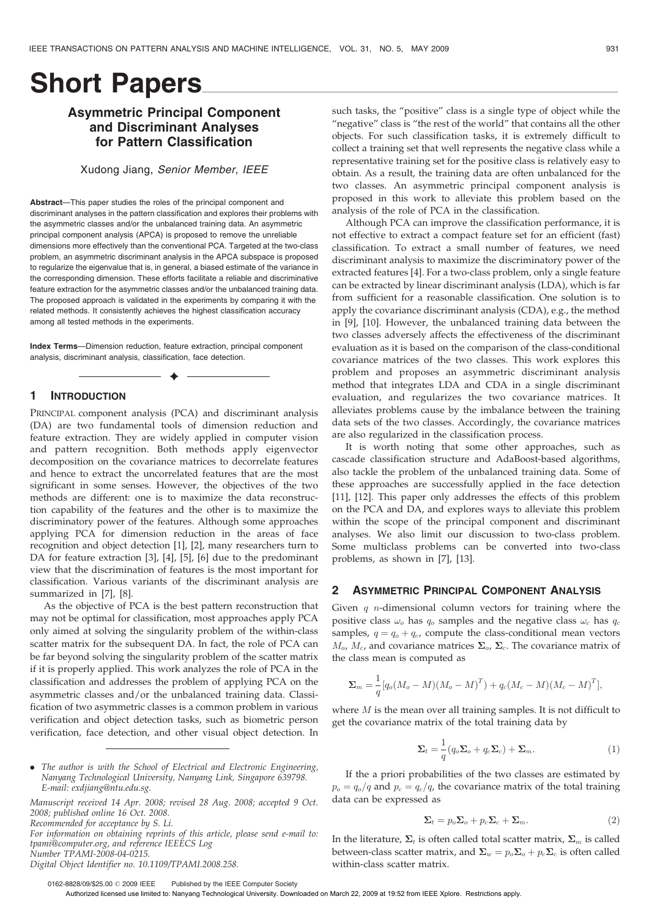# Short Papers

# Asymmetric Principal Component and Discriminant Analyses for Pattern Classification

Xudong Jiang, Senior Member, IEEE

Abstract—This paper studies the roles of the principal component and discriminant analyses in the pattern classification and explores their problems with the asymmetric classes and/or the unbalanced training data. An asymmetric principal component analysis (APCA) is proposed to remove the unreliable dimensions more effectively than the conventional PCA. Targeted at the two-class problem, an asymmetric discriminant analysis in the APCA subspace is proposed to regularize the eigenvalue that is, in general, a biased estimate of the variance in the corresponding dimension. These efforts facilitate a reliable and discriminative feature extraction for the asymmetric classes and/or the unbalanced training data. The proposed approach is validated in the experiments by comparing it with the related methods. It consistently achieves the highest classification accuracy among all tested methods in the experiments.

Index Terms—Dimension reduction, feature extraction, principal component analysis, discriminant analysis, classification, face detection.

 $\overline{\phantom{a}}$ 

 $\overline{\phantom{0}}$ 

#### 1 INTRODUCTION

PRINCIPAL component analysis (PCA) and discriminant analysis (DA) are two fundamental tools of dimension reduction and feature extraction. They are widely applied in computer vision and pattern recognition. Both methods apply eigenvector decomposition on the covariance matrices to decorrelate features and hence to extract the uncorrelated features that are the most significant in some senses. However, the objectives of the two methods are different: one is to maximize the data reconstruction capability of the features and the other is to maximize the discriminatory power of the features. Although some approaches applying PCA for dimension reduction in the areas of face recognition and object detection [1], [2], many researchers turn to DA for feature extraction [3], [4], [5], [6] due to the predominant view that the discrimination of features is the most important for classification. Various variants of the discriminant analysis are summarized in [7], [8].

As the objective of PCA is the best pattern reconstruction that may not be optimal for classification, most approaches apply PCA only aimed at solving the singularity problem of the within-class scatter matrix for the subsequent DA. In fact, the role of PCA can be far beyond solving the singularity problem of the scatter matrix if it is properly applied. This work analyzes the role of PCA in the classification and addresses the problem of applying PCA on the asymmetric classes and/or the unbalanced training data. Classification of two asymmetric classes is a common problem in various verification and object detection tasks, such as biometric person verification, face detection, and other visual object detection. In

• The author is with the School of Electrical and Electronic Engineering, Nanyang Technological University, Nanyang Link, Singapore 639798. E-mail: exdjiang@ntu.edu.sg.

Manuscript received 14 Apr. 2008; revised 28 Aug. 2008; accepted 9 Oct. 2008; published online 16 Oct. 2008.

Recommended for acceptance by S. Li.

For information on obtaining reprints of this article, please send e-mail to: tpami@computer.org, and reference IEEECS Log Number TPAMI-2008-04-0215.

Digital Object Identifier no. 10.1109/TPAMI.2008.258.

such tasks, the "positive" class is a single type of object while the "negative" class is "the rest of the world" that contains all the other objects. For such classification tasks, it is extremely difficult to collect a training set that well represents the negative class while a representative training set for the positive class is relatively easy to obtain. As a result, the training data are often unbalanced for the two classes. An asymmetric principal component analysis is proposed in this work to alleviate this problem based on the analysis of the role of PCA in the classification.

Although PCA can improve the classification performance, it is not effective to extract a compact feature set for an efficient (fast) classification. To extract a small number of features, we need discriminant analysis to maximize the discriminatory power of the extracted features [4]. For a two-class problem, only a single feature can be extracted by linear discriminant analysis (LDA), which is far from sufficient for a reasonable classification. One solution is to apply the covariance discriminant analysis (CDA), e.g., the method in [9], [10]. However, the unbalanced training data between the two classes adversely affects the effectiveness of the discriminant evaluation as it is based on the comparison of the class-conditional covariance matrices of the two classes. This work explores this problem and proposes an asymmetric discriminant analysis method that integrates LDA and CDA in a single discriminant evaluation, and regularizes the two covariance matrices. It alleviates problems cause by the imbalance between the training data sets of the two classes. Accordingly, the covariance matrices are also regularized in the classification process.

It is worth noting that some other approaches, such as cascade classification structure and AdaBoost-based algorithms, also tackle the problem of the unbalanced training data. Some of these approaches are successfully applied in the face detection [11], [12]. This paper only addresses the effects of this problem on the PCA and DA, and explores ways to alleviate this problem within the scope of the principal component and discriminant analyses. We also limit our discussion to two-class problem. Some multiclass problems can be converted into two-class problems, as shown in [7], [13].

#### 2 ASYMMETRIC PRINCIPAL COMPONENT ANALYSIS

Given  $q$  *n*-dimensional column vectors for training where the positive class  $\omega_0$  has  $q_0$  samples and the negative class  $\omega_c$  has  $q_c$ samples,  $q = q_0 + q_c$ , compute the class-conditional mean vectors  $M_o$ ,  $M_c$ , and covariance matrices  $\Sigma_o$ ,  $\Sigma_c$ . The covariance matrix of the class mean is computed as

$$
\Sigma_m = \frac{1}{q} [q_o(M_o - M)(M_o - M)^T] + q_c(M_c - M)(M_c - M)^T],
$$

where  $M$  is the mean over all training samples. It is not difficult to get the covariance matrix of the total training data by

$$
\Sigma_t = \frac{1}{q} (q_o \Sigma_o + q_c \Sigma_c) + \Sigma_m.
$$
 (1)

If the a priori probabilities of the two classes are estimated by  $p_o = q_o/q$  and  $p_c = q_c/q$ , the covariance matrix of the total training data can be expressed as

$$
\Sigma_t = p_o \Sigma_o + p_c \Sigma_c + \Sigma_m.
$$
 (2)

In the literature,  $\Sigma_t$  is often called total scatter matrix,  $\Sigma_m$  is called between-class scatter matrix, and  $\Sigma_w = p_o \Sigma_o + p_c \Sigma_c$  is often called<br>within class scatter matrix within-class scatter matrix.

0162-8828/09/\$25.00 © 2009 IEEE Published by the IEEE Computer Society

Authorized licensed use limited to: Nanyang Technological University. Downloaded on March 22, 2009 at 19:52 from IEEE Xplore. Restrictions apply.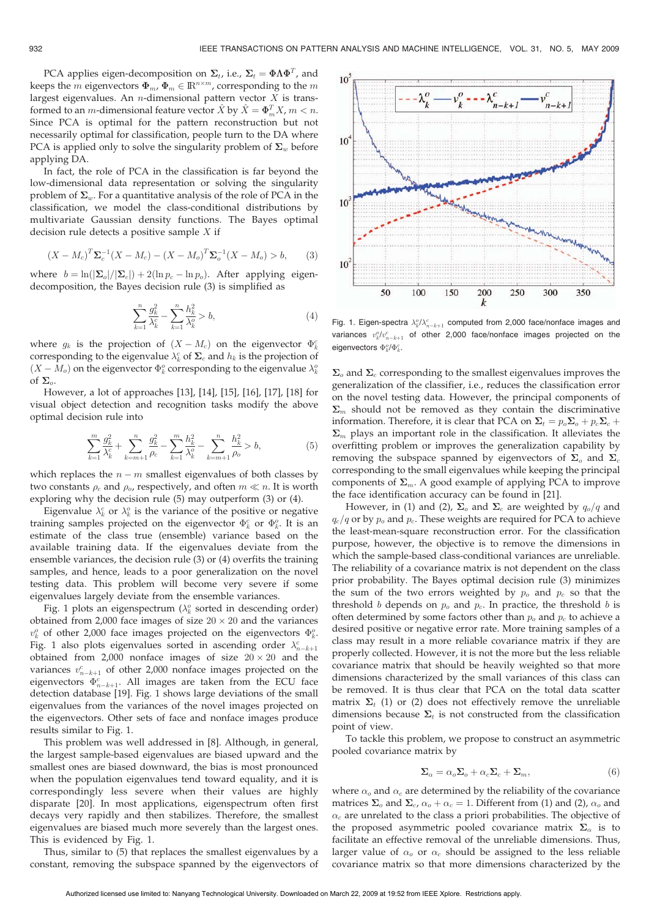PCA applies eigen-decomposition on  $\Sigma_t$ , i.e.,  $\Sigma_t = \Phi \Lambda \Phi^T$ , and<br>the m eigenvectors  $\Phi \Phi \in \mathbb{R}^{n \times m}$  corresponding to the m keeps the *m* eigenvectors  $\Phi_m$ ,  $\Phi_m \in \mathbb{R}^{n \times m}$ , corresponding to the *m*<br>largest eigenvalues. An *n*-dimensional pattern vector *Y* is translargest eigenvalues. An *n*-dimensional pattern vector  $X$  is transformed to an *m*-dimensional feature vector  $\hat{X}$  by  $\hat{X} = \Phi_n^T X$ ,  $m < n$ .<br>Since PCA is optimal for the pattern reconstruction but not Since PCA is optimal for the pattern reconstruction but not necessarily optimal for classification, people turn to the DA where PCA is applied only to solve the singularity problem of  $\mathbf{\Sigma}_w$  before applying DA.

In fact, the role of PCA in the classification is far beyond the low-dimensional data representation or solving the singularity problem of  $\mathbf{\Sigma}_{w}$ . For a quantitative analysis of the role of PCA in the classification, we model the class-conditional distributions by multivariate Gaussian density functions. The Bayes optimal decision rule detects a positive sample  $X$  if

$$
(X - M_c)^T \Sigma_c^{-1} (X - M_c) - (X - M_o)^T \Sigma_o^{-1} (X - M_o) > b,
$$
 (3)

where  $b = \ln(|\mathbf{\Sigma}_o|/|\mathbf{\Sigma}_c|) + 2(\ln p_c - \ln p_o)$ . After applying eigen-<br>decomposition the Bayes decision rule (3) is simplified as decomposition, the Bayes decision rule (3) is simplified as

$$
\sum_{k=1}^{n} \frac{g_k^2}{\lambda_k^c} - \sum_{k=1}^{n} \frac{h_k^2}{\lambda_k^o} > b,\tag{4}
$$

where  $g_k$  is the projection of  $(X - M_c)$  on the eigenvector  $\Phi_k^c$ <br>corresponding to the eigenvalue  $\lambda^c$  of  $\Sigma$  and  $h_i$  is the projection of corresponding to the eigenvalue  $\lambda_k^c$  of  $\Sigma_c$  and  $h_k$  is the projection of  $(X - M_o)$  on the eigenvector  $\Phi_k^o$  corresponding to the eigenvalue  $\lambda_k^o$ of  $\Sigma_o$ .

However, a lot of approaches [13], [14], [15], [16], [17], [18] for visual object detection and recognition tasks modify the above optimal decision rule into

$$
\sum_{k=1}^{m} \frac{g_k^2}{\lambda_k^c} + \sum_{k=m+1}^{n} \frac{g_k^2}{\rho_c} - \sum_{k=1}^{m} \frac{h_k^2}{\lambda_k^o} - \sum_{k=m+1}^{n} \frac{h_k^2}{\rho_o} > b,\tag{5}
$$

which replaces the  $n - m$  smallest eigenvalues of both classes by<br>two constants e and e respectively and often  $m \ll n$ . It is worth two constants  $\rho_c$  and  $\rho_o$ , respectively, and often  $m \ll n$ . It is worth exploring why the decision rule (5) may outperform (3) or (4).

Eigenvalue  $\lambda_k^c$  or  $\lambda_k^o$  is the variance of the positive or negative training samples projected on the eigenvector  $\Phi_k^c$  or  $\Phi_k^o$ . It is an estimate of the class true (ensemble) variance based on the available training data. If the eigenvalues deviate from the ensemble variances, the decision rule (3) or (4) overfits the training samples, and hence, leads to a poor generalization on the novel testing data. This problem will become very severe if some eigenvalues largely deviate from the ensemble variances.

Fig. 1 plots an eigenspectrum ( $\lambda_k^o$  sorted in descending order) obtained from 2,000 face images of size  $20 \times 20$  and the variances  $v_k^o$  of other 2,000 face images projected on the eigenvectors  $\Phi_k^o$ . Fig. 1 also plots eigenvalues sorted in ascending order  $\lambda_{n-k+1}^c$ <br>obtained from 2,000 perfoce images of size 20  $\times$  20 and the obtained from 2,000 nonface images of size  $20 \times 20$  and the variances  $v_{n-k+1}^c$  of other 2,000 nonface images projected on the electronic decree  $\Delta U$  images are taken from the ECU face eigenvectors  $\Phi_{n-k+1}^c$ . All images are taken from the ECU face<br>detection database [19] Fig. 1 shows large deviations of the small detection database [19]. Fig. 1 shows large deviations of the small eigenvalues from the variances of the novel images projected on the eigenvectors. Other sets of face and nonface images produce results similar to Fig. 1.

This problem was well addressed in [8]. Although, in general, the largest sample-based eigenvalues are biased upward and the smallest ones are biased downward, the bias is most pronounced when the population eigenvalues tend toward equality, and it is correspondingly less severe when their values are highly disparate [20]. In most applications, eigenspectrum often first decays very rapidly and then stabilizes. Therefore, the smallest eigenvalues are biased much more severely than the largest ones. This is evidenced by Fig. 1.

Thus, similar to (5) that replaces the smallest eigenvalues by a constant, removing the subspace spanned by the eigenvectors of



Fig. 1. Eigen-spectra  $\lambda_k^{\rho}/\lambda_{n-k+1}^{\rho}$  computed from 2,000 face/nonface images and variances  $v_k^{\rho}/v_{n-k+1}^{\rho}$  of other 2,000 face/nonface images projected on the eigenvectors  $\Phi_k^o/\Phi_k^c$ .

 $\Sigma_o$  and  $\Sigma_c$  corresponding to the smallest eigenvalues improves the generalization of the classifier, i.e., reduces the classification error on the novel testing data. However, the principal components of  $\Sigma_m$  should not be removed as they contain the discriminative information. Therefore, it is clear that PCA on  $\Sigma_t = p_o \Sigma_o + p_c \Sigma$ <br>  $\Sigma$  - plays an important role in the elassification. It allowances mformation. Therefore, it is clear that PCA on  $\Sigma_t = p_o \Sigma_o + p_c \Sigma_c + \Sigma_m$  plays an important role in the classification. It alleviates the overfitting problem or improves the generalization capability by removing the subspace spanned by eigenvectors of  $\Sigma_o$  and  $\Sigma_c$ corresponding to the small eigenvalues while keeping the principal components of  $\Sigma_m$ . A good example of applying PCA to improve the face identification accuracy can be found in [21].

However, in (1) and (2),  $\Sigma_o$  and  $\Sigma_c$  are weighted by  $q_o/q$  and  $q_c/q$  or by  $p_o$  and  $p_c$ . These weights are required for PCA to achieve the least-mean-square reconstruction error. For the classification purpose, however, the objective is to remove the dimensions in which the sample-based class-conditional variances are unreliable. The reliability of a covariance matrix is not dependent on the class prior probability. The Bayes optimal decision rule (3) minimizes the sum of the two errors weighted by  $p<sub>o</sub>$  and  $p<sub>c</sub>$  so that the threshold b depends on  $p<sub>o</sub>$  and  $p<sub>c</sub>$ . In practice, the threshold b is often determined by some factors other than  $p_o$  and  $p_c$  to achieve a desired positive or negative error rate. More training samples of a class may result in a more reliable covariance matrix if they are properly collected. However, it is not the more but the less reliable covariance matrix that should be heavily weighted so that more dimensions characterized by the small variances of this class can be removed. It is thus clear that PCA on the total data scatter matrix  $\Sigma_t$  (1) or (2) does not effectively remove the unreliable dimensions because  $\Sigma_t$  is not constructed from the classification point of view.

To tackle this problem, we propose to construct an asymmetric pooled covariance matrix by

$$
\Sigma_{\alpha} = \alpha_o \Sigma_o + \alpha_c \Sigma_c + \Sigma_m, \tag{6}
$$

where  $\alpha_o$  and  $\alpha_c$  are determined by the reliability of the covariance matrices  $\Sigma_o$  and  $\Sigma_c$ ,  $\alpha_o + \alpha_c = 1$ . Different from (1) and (2),  $\alpha_o$  and  $\alpha_o$  are unrelated to the class a priori probabilities. The objective of  $\alpha_c$  are unrelated to the class a priori probabilities. The objective of the proposed asymmetric pooled covariance matrix  $\Sigma_{\alpha}$  is to facilitate an effective removal of the unreliable dimensions. Thus, larger value of  $\alpha_o$  or  $\alpha_c$  should be assigned to the less reliable covariance matrix so that more dimensions characterized by the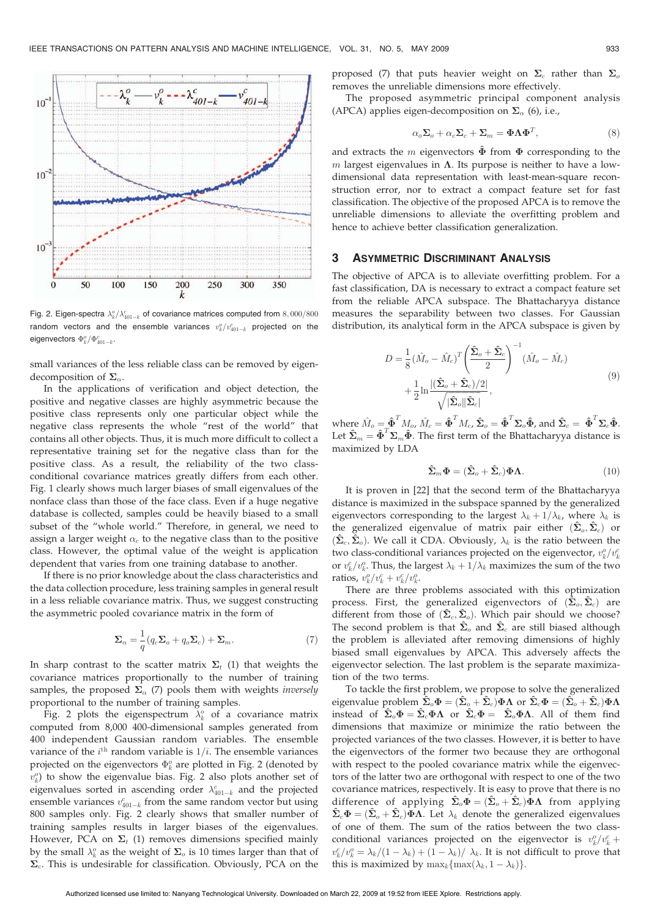

Fig. 2. Eigen-spectra  $\lambda_k^o / \lambda_{401-k}^c$  of covariance matrices computed from 8,000/800 random vectors and the ensemble variances  $v_k^o/v_{401-k}^c$  projected on the eigenvectors  $\Phi_k^o / \Phi_{401-k}^c$ .

small variances of the less reliable class can be removed by eigendecomposition of  $\Sigma_{\alpha}$ .

In the applications of verification and object detection, the positive and negative classes are highly asymmetric because the positive class represents only one particular object while the negative class represents the whole "rest of the world" that contains all other objects. Thus, it is much more difficult to collect a representative training set for the negative class than for the positive class. As a result, the reliability of the two classconditional covariance matrices greatly differs from each other. Fig. 1 clearly shows much larger biases of small eigenvalues of the nonface class than those of the face class. Even if a huge negative database is collected, samples could be heavily biased to a small subset of the "whole world." Therefore, in general, we need to assign a larger weight  $\alpha_c$  to the negative class than to the positive class. However, the optimal value of the weight is application dependent that varies from one training database to another.

If there is no prior knowledge about the class characteristics and the data collection procedure, less training samples in general result in a less reliable covariance matrix. Thus, we suggest constructing the asymmetric pooled covariance matrix in the form of

$$
\Sigma_{\alpha} = \frac{1}{q} (q_c \Sigma_o + q_o \Sigma_c) + \Sigma_m.
$$
 (7)

In sharp contrast to the scatter matrix  $\boldsymbol{\Sigma} _t$  (1) that weights the covariance matrices proportionally to the number of training samples, the proposed  $\boldsymbol{\Sigma}_{\alpha}$  (7) pools them with weights *inversely* proportional to the number of training samples.

Fig. 2 plots the eigenspectrum  $\lambda_k^o$  of a covariance matrix computed from 8,000 400-dimensional samples generated from 400 independent Gaussian random variables. The ensemble variance of the  $i<sup>th</sup>$  random variable is  $1/i$ . The ensemble variances projected on the eigenvectors  $\Phi_k^o$  are plotted in Fig. 2 (denoted by  $v_k^o$ ) to show the eigenvalue bias. Fig. 2 also plots another set of eigenvalues sorted in ascending order  $\lambda_{401-k}^c$  and the projected<br>ensemble variances of them the same random vector but veing ensemble variances  $v_{401-k}^c$  from the same random vector but using<br>800 camples only Fig. 2 clearly shows that smaller number of 800 samples only. Fig. 2 clearly shows that smaller number of training samples results in larger biases of the eigenvalues. However, PCA on  $\mathbf{\Sigma}_{t}$  (1) removes dimensions specified mainly by the small  $\lambda_k^o$  as the weight of  $\Sigma_o$  is 10 times larger than that of  $\Sigma_c$ . This is undesirable for classification. Obviously, PCA on the

proposed (7) that puts heavier weight on  $\Sigma_c$  rather than  $\Sigma_c$ removes the unreliable dimensions more effectively.

The proposed asymmetric principal component analysis (APCA) applies eigen-decomposition on  $\Sigma_{\alpha}$  (6), i.e.,

$$
\alpha_o \Sigma_o + \alpha_c \Sigma_c + \Sigma_m = \Phi \Lambda \Phi^T,
$$
\n(8)

and extracts the m eigenvectors  $\hat{\Phi}$  from  $\Phi$  corresponding to the m largest eigenvalues in  $\Lambda$ . Its purpose is neither to have a lowdimensional data representation with least-mean-square reconstruction error, nor to extract a compact feature set for fast classification. The objective of the proposed APCA is to remove the unreliable dimensions to alleviate the overfitting problem and hence to achieve better classification generalization.

#### 3 ASYMMETRIC DISCRIMINANT ANALYSIS

The objective of APCA is to alleviate overfitting problem. For a fast classification, DA is necessary to extract a compact feature set from the reliable APCA subspace. The Bhattacharyya distance measures the separability between two classes. For Gaussian distribution, its analytical form in the APCA subspace is given by

$$
D = \frac{1}{8} (\hat{M}_o - \hat{M}_c)^T \left( \frac{\hat{\Sigma}_o + \hat{\Sigma}_c}{2} \right)^{-1} (\hat{M}_o - \hat{M}_c)
$$
  
+ 
$$
\frac{1}{2} \ln \frac{|(\hat{\Sigma}_o + \hat{\Sigma}_c)/2|}{\sqrt{|\hat{\Sigma}_o||\hat{\Sigma}_c|}},
$$
(9)

where  $\hat{M}_o = \hat{\boldsymbol{\Phi}}^T M_o$ ,  $\hat{M}_c = \hat{\boldsymbol{\Phi}}^T M_c$ ,  $\hat{\boldsymbol{\Sigma}}_o = \hat{\boldsymbol{\Phi}}^T \boldsymbol{\Sigma}_o \hat{\boldsymbol{\Phi}}$ , and  $\hat{\boldsymbol{\Sigma}}_c = \hat{\boldsymbol{\Phi}}^T \boldsymbol{\Sigma}_c \hat{\boldsymbol{\Phi}}$ . Let  $\hat{\Sigma}_m = \hat{\Phi}^T \Sigma_m \hat{\Phi}$ . The first term of the Bhattacharyya distance is maximized by LDA. maximized by LDA

$$
\hat{\Sigma}_m \Phi = (\hat{\Sigma}_o + \hat{\Sigma}_c) \Phi \Lambda.
$$
 (10)

It is proven in [22] that the second term of the Bhattacharyya distance is maximized in the subspace spanned by the generalized eigenvectors corresponding to the largest  $\lambda_k + 1/\lambda_k$ , where  $\lambda_k$  is<br>the concrelized eigenvalue of matrix pair either  $(\hat{\Sigma} \hat{\Sigma})$  or the generalized eigenvalue of matrix pair either  $(\hat{\Sigma}_o, \hat{\Sigma}_c)$  or  $(\hat{\Sigma}, \hat{\Sigma})$ . We call it CDA. Obviously by is the ratio between the  $(\hat{\Sigma}_c, \hat{\Sigma}_o)$ . We call it CDA. Obviously,  $\lambda_k$  is the ratio between the time along conditional variances projected on the circonvector  $\omega^o/\omega^c$ two class-conditional variances projected on the eigenvector,  $v^o_k/v^o_k$ or  $v_k^c/v_k^o$ . Thus, the largest  $\lambda_k + 1/\lambda_k$  maximizes the sum of the two ratios  $v_k^o/v_k^o + v_k^o/v_k^o$ ratios,  $v_k^o/v_k^c + v_k^c/v_k^o$ .<br>There are three

There are three problems associated with this optimization process. First, the generalized eigenvectors of  $(\hat{\Sigma}_o, \hat{\Sigma}_c)$  are different from those of  $(\hat{\Sigma} \ \hat{\Sigma})$ . Which pair should we shooted different from those of  $(\hat{\Sigma}_c, \hat{\Sigma}_o)$ . Which pair should we choose?<br>The second problem is that  $\hat{\Sigma}$  and  $\hat{\Sigma}$  are still biased although The second problem is that  $\hat{\Sigma}_o$  and  $\hat{\Sigma}_c$  are still biased although the problem is alleviated after removing dimensions of highly biased small eigenvalues by APCA. This adversely affects the eigenvector selection. The last problem is the separate maximization of the two terms.

To tackle the first problem, we propose to solve the generalized eigenvalue problem  $\hat{\Sigma}_o \Phi = (\hat{\Sigma}_o + \hat{\Sigma}_c) \Phi \Lambda$  or  $\hat{\Sigma}_c \Phi = (\hat{\Sigma}_o + \hat{\Sigma}_c) \Phi \Lambda$ <br>instead of  $\hat{\Sigma} \Phi = \hat{\Sigma} \Phi \Lambda$  or  $\hat{\Sigma} \Phi = \hat{\Sigma} \Phi \Lambda$  all of them find instead of  $\hat{\Sigma}_{o} \Phi = \hat{\Sigma}_{c} \Phi \Lambda$  or  $\hat{\Sigma}_{c} \Phi = \hat{\Sigma}_{o} \Phi \Lambda$ . All of them find<br>dimensions that maximize or minimize the ratio hervices the dimensions that maximize or minimize the ratio between the projected variances of the two classes. However, it is better to have the eigenvectors of the former two because they are orthogonal with respect to the pooled covariance matrix while the eigenvectors of the latter two are orthogonal with respect to one of the two covariance matrices, respectively. It is easy to prove that there is no difference of applying  $\hat{\Sigma}_o \hat{\Phi} = (\hat{\Sigma}_o + \hat{\Sigma}_c) \hat{\Phi} \Lambda$  from applying  $\hat{\Sigma} \hat{\Phi} = (\hat{\Sigma} + \hat{\Sigma}) \hat{\Phi} \Lambda$ . Let be denote the concretized eigenvalues  $\hat{\Sigma}_c \Phi = (\hat{\Sigma}_o + \hat{\Sigma}_c) \overline{\Phi} \Lambda$ . Let  $\lambda_k$  denote the generalized eigenvalues of one of them. The sum of the ratios between the two classconditional variances projected on the eigenvector is  $v_k^o/v_k^o$ conditional variances projected on the eigenvector is  $v_k / v_k + v_k^c / v_k^o = \lambda_k / (1 - \lambda_k) + (1 - \lambda_k) / \lambda_k$ . It is not difficult to prove that this is maximized by  $\max_k \{ \max(\lambda_k, 1 - \lambda_k) \}.$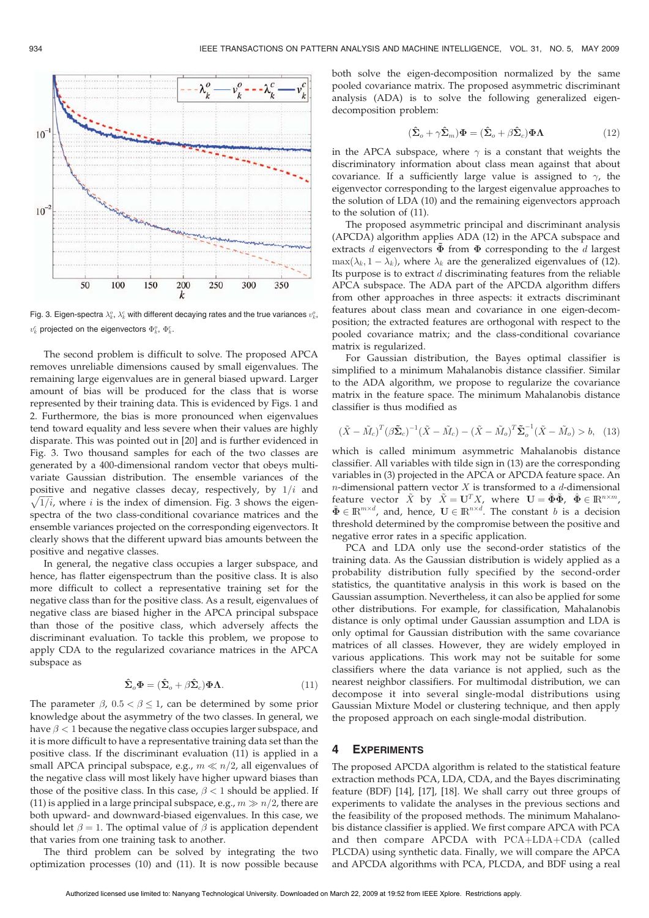

Fig. 3. Eigen-spectra  $\lambda^o_k$ ,  $\lambda^c_k$  with different decaying rates and the true variances  $v^o_k$ ,  $v^c_k$  projected on the eigenvectors  $\Phi^o_k$ ,  $\Phi^c_k$ .

The second problem is difficult to solve. The proposed APCA removes unreliable dimensions caused by small eigenvalues. The remaining large eigenvalues are in general biased upward. Larger amount of bias will be produced for the class that is worse represented by their training data. This is evidenced by Figs. 1 and 2. Furthermore, the bias is more pronounced when eigenvalues tend toward equality and less severe when their values are highly disparate. This was pointed out in [20] and is further evidenced in Fig. 3. Two thousand samples for each of the two classes are generated by a 400-dimensional random vector that obeys multivariate Gaussian distribution. The ensemble variances of the positive and negative classes decay, respectively, by  $1/i$  and  $\sqrt{1/i}$ , where *i* is the index of dimension. Fig. 3 shows the eigenspectra of the two class-conditional covariance matrices and the ensemble variances projected on the corresponding eigenvectors. It clearly shows that the different upward bias amounts between the positive and negative classes.

In general, the negative class occupies a larger subspace, and hence, has flatter eigenspectrum than the positive class. It is also more difficult to collect a representative training set for the negative class than for the positive class. As a result, eigenvalues of negative class are biased higher in the APCA principal subspace than those of the positive class, which adversely affects the discriminant evaluation. To tackle this problem, we propose to apply CDA to the regularized covariance matrices in the APCA subspace as

$$
\hat{\Sigma}_o \Phi = (\hat{\Sigma}_o + \beta \hat{\Sigma}_c) \Phi \Lambda.
$$
\n(11)

The parameter  $\beta$ ,  $0.5 < \beta < 1$ , can be determined by some prior knowledge about the asymmetry of the two classes. In general, we have  $\beta$  < 1 because the negative class occupies larger subspace, and it is more difficult to have a representative training data set than the positive class. If the discriminant evaluation (11) is applied in a small APCA principal subspace, e.g.,  $m \ll n/2$ , all eigenvalues of the negative class will most likely have higher upward biases than those of the positive class. In this case,  $\beta$  < 1 should be applied. If (11) is applied in a large principal subspace, e.g.,  $m \gg n/2$ , there are both upward- and downward-biased eigenvalues. In this case, we should let  $\beta = 1$ . The optimal value of  $\beta$  is application dependent that varies from one training task to another.

The third problem can be solved by integrating the two optimization processes (10) and (11). It is now possible because both solve the eigen-decomposition normalized by the same pooled covariance matrix. The proposed asymmetric discriminant analysis (ADA) is to solve the following generalized eigendecomposition problem:

$$
(\hat{\Sigma}_o + \gamma \hat{\Sigma}_m) \Phi = (\hat{\Sigma}_o + \beta \hat{\Sigma}_c) \Phi \Lambda
$$
\n(12)

in the APCA subspace, where  $\gamma$  is a constant that weights the discriminatory information about class mean against that about covariance. If a sufficiently large value is assigned to  $\gamma$ , the eigenvector corresponding to the largest eigenvalue approaches to the solution of LDA (10) and the remaining eigenvectors approach to the solution of (11).

The proposed asymmetric principal and discriminant analysis (APCDA) algorithm applies ADA (12) in the APCA subspace and extracts d eigenvectors  $\tilde{\Phi}$  from  $\Phi$  corresponding to the d largest max( $\lambda_k$ , 1 -  $\lambda_k$ ), where  $\lambda_k$  are the generalized eigenvalues of (12). Its purpose is to extract  $d$  discriminating features from the reliable APCA subspace. The ADA part of the APCDA algorithm differs from other approaches in three aspects: it extracts discriminant features about class mean and covariance in one eigen-decomposition; the extracted features are orthogonal with respect to the pooled covariance matrix; and the class-conditional covariance matrix is regularized.

For Gaussian distribution, the Bayes optimal classifier is simplified to a minimum Mahalanobis distance classifier. Similar to the ADA algorithm, we propose to regularize the covariance matrix in the feature space. The minimum Mahalanobis distance classifier is thus modified as

$$
\left(\tilde{X} - \tilde{M}_c\right)^T \left(\beta \tilde{\Sigma}_c\right)^{-1} \left(\tilde{X} - \tilde{M}_c\right) - \left(\tilde{X} - \tilde{M}_o\right)^T \tilde{\Sigma}_o^{-1} \left(\tilde{X} - \tilde{M}_o\right) > b,\tag{13}
$$

which is called minimum asymmetric Mahalanobis distance classifier. All variables with tilde sign in (13) are the corresponding variables in (3) projected in the APCA or APCDA feature space. An  $n$ -dimensional pattern vector  $X$  is transformed to a  $d$ -dimensional feature vector  $\tilde{X}$  by  $\tilde{X} = U^T X$ , where  $U = \hat{\Phi} \tilde{\Phi}$ ,  $\hat{\Phi} \in \mathbb{R}^{n \times m}$ ,  $\tilde{\Phi} \in \mathbb{R}^{n \times m}$ ,  $\tilde{\Phi} \in \mathbb{R}^{n \times m}$ ,  $\tilde{\Phi} \in \mathbb{R}^{n \times m}$ ,  $\tilde{\Phi} \in \mathbb{R}^{m \times d}$ , and, hence,  $\mathbf{U} \in \mathbb{R}^{n \times d}$ . The constant b is a decision the positive and threshold determined by the compromise between the positive and negative error rates in a specific application.

PCA and LDA only use the second-order statistics of the training data. As the Gaussian distribution is widely applied as a probability distribution fully specified by the second-order statistics, the quantitative analysis in this work is based on the Gaussian assumption. Nevertheless, it can also be applied for some other distributions. For example, for classification, Mahalanobis distance is only optimal under Gaussian assumption and LDA is only optimal for Gaussian distribution with the same covariance matrices of all classes. However, they are widely employed in various applications. This work may not be suitable for some classifiers where the data variance is not applied, such as the nearest neighbor classifiers. For multimodal distribution, we can decompose it into several single-modal distributions using Gaussian Mixture Model or clustering technique, and then apply the proposed approach on each single-modal distribution.

# **EXPERIMENTS**

The proposed APCDA algorithm is related to the statistical feature extraction methods PCA, LDA, CDA, and the Bayes discriminating feature (BDF) [14], [17], [18]. We shall carry out three groups of experiments to validate the analyses in the previous sections and the feasibility of the proposed methods. The minimum Mahalanobis distance classifier is applied. We first compare APCA with PCA and then compare APCDA with PCA+LDA+CDA (called PLCDA) using synthetic data. Finally, we will compare the APCA and APCDA algorithms with PCA, PLCDA, and BDF using a real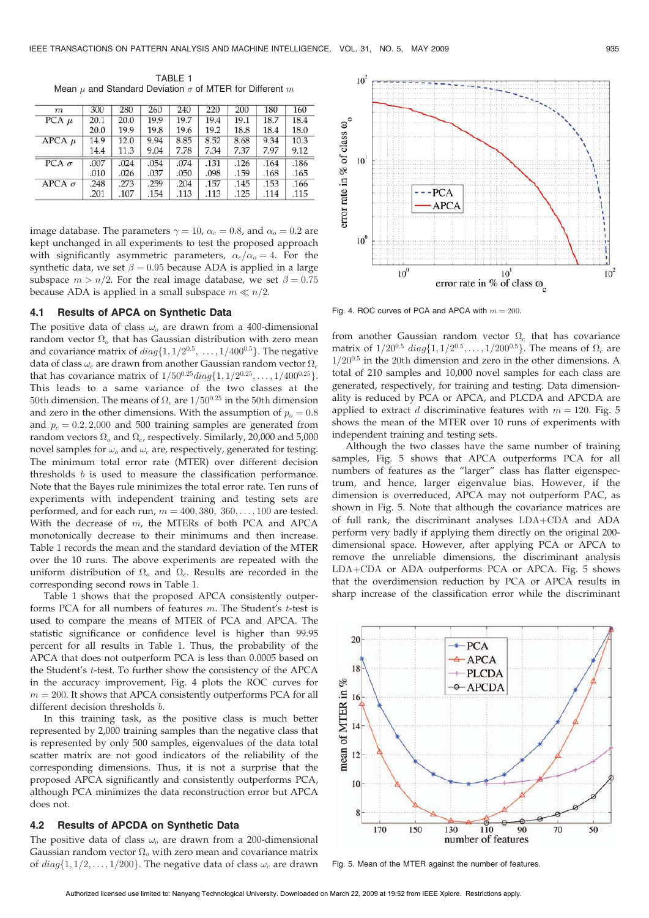| TABLE 1                                                              |
|----------------------------------------------------------------------|
| Mean $\mu$ and Standard Deviation $\sigma$ of MTER for Different $m$ |

| $_{m}$        | 300  | 280  | 260  | 240  | 220  | 200  | 180  | 160  |
|---------------|------|------|------|------|------|------|------|------|
| $PCA\mu$      | 20.1 | 20.0 | 19.9 | 19.7 | 19.4 | 19.1 | 18.7 | 18.4 |
|               | 20.0 | 19.9 | 19.8 | 19.6 | 19.2 | 18.8 | 18.4 | 18.0 |
| $APCA$ $\mu$  | 14.9 | 12.0 | 9.94 | 8.85 | 8.52 | 8.68 | 9.34 | 10.3 |
|               | 14.4 | 11.3 | 9.04 | 7.78 | 7.34 | 7.37 | 7.97 | 9.12 |
| PCA $\sigma$  | .007 | .024 | .054 | .074 | .131 | .126 | .164 | .186 |
|               | .010 | .026 | .037 | .050 | .098 | .159 | .168 | .165 |
| APCA $\sigma$ | .248 | .273 | .259 | .204 | .157 | .145 | .153 | .166 |
|               | .201 | .107 | .154 | .113 | .113 | .125 | .114 | .115 |

image database. The parameters  $\gamma = 10$ ,  $\alpha_c = 0.8$ , and  $\alpha_o = 0.2$  are kept unchanged in all experiments to test the proposed approach with significantly asymmetric parameters,  $\alpha_c/\alpha_o=4$ . For the synthetic data, we set  $\beta = 0.95$  because ADA is applied in a large subspace  $m > n/2$ . For the real image database, we set  $\beta = 0.75$ because ADA is applied in a small subspace  $m \ll n/2$ .

#### 4.1 Results of APCA on Synthetic Data

The positive data of class  $\omega_0$  are drawn from a 400-dimensional random vector  $\Omega$ <sub>o</sub> that has Gaussian distribution with zero mean and covariance matrix of  $diag\{1, 1/2^{0.5}, \ldots, 1/400^{0.5}\}$ . The negative data of class  $\omega_c$  are drawn from another Gaussian random vector  $\Omega_c$ that has covariance matrix of  $1/50^{0.25}$  diag{ $1, 1/2^{0.25}, \ldots, 1/400^{0.25}$ }. This leads to a same variance of the two classes at the 50th dimension. The means of  $\Omega_c$  are  $1/50^{0.25}$  in the 50th dimension and zero in the other dimensions. With the assumption of  $p_0 = 0.8$ and  $p_c = 0.2, 2,000$  and 500 training samples are generated from random vectors  $\Omega_0$  and  $\Omega_c$ , respectively. Similarly, 20,000 and 5,000 novel samples for  $\omega_0$  and  $\omega_c$  are, respectively, generated for testing. The minimum total error rate (MTER) over different decision thresholds  $b$  is used to measure the classification performance. Note that the Bayes rule minimizes the total error rate. Ten runs of experiments with independent training and testing sets are performed, and for each run,  $m = 400, 380, 360, \ldots, 100$  are tested. With the decrease of m, the MTERs of both PCA and APCA monotonically decrease to their minimums and then increase. Table 1 records the mean and the standard deviation of the MTER over the 10 runs. The above experiments are repeated with the uniform distribution of  $\Omega$ <sub>o</sub> and  $\Omega$ <sub>c</sub>. Results are recorded in the corresponding second rows in Table 1.

Table 1 shows that the proposed APCA consistently outperforms PCA for all numbers of features m. The Student's t-test is used to compare the means of MTER of PCA and APCA. The statistic significance or confidence level is higher than 99.95 percent for all results in Table 1. Thus, the probability of the APCA that does not outperform PCA is less than 0.0005 based on the Student's t-test. To further show the consistency of the APCA in the accuracy improvement, Fig. 4 plots the ROC curves for  $m = 200$ . It shows that APCA consistently outperforms PCA for all different decision thresholds b.

In this training task, as the positive class is much better represented by 2,000 training samples than the negative class that is represented by only 500 samples, eigenvalues of the data total scatter matrix are not good indicators of the reliability of the corresponding dimensions. Thus, it is not a surprise that the proposed APCA significantly and consistently outperforms PCA, although PCA minimizes the data reconstruction error but APCA does not.

# 4.2 Results of APCDA on Synthetic Data

The positive data of class  $\omega_o$  are drawn from a 200-dimensional Gaussian random vector  $\Omega$ <sub>o</sub> with zero mean and covariance matrix of  $diag\{1, 1/2, \ldots, 1/200\}$ . The negative data of class  $\omega_c$  are drawn



Fig. 4. ROC curves of PCA and APCA with  $m = 200$ .

from another Gaussian random vector  $\Omega_c$  that has covariance matrix of  $1/20^{0.5}$  diag{ $1, 1/2^{0.5}, \ldots$ ,  $1/200^{0.5}$ }. The means of  $\Omega_c$  are  $1/20^{0.5}$  in the 20th dimension and zero in the other dimensions. A total of 210 samples and 10,000 novel samples for each class are generated, respectively, for training and testing. Data dimensionality is reduced by PCA or APCA, and PLCDA and APCDA are applied to extract d discriminative features with  $m = 120$ . Fig. 5 shows the mean of the MTER over 10 runs of experiments with independent training and testing sets.

Although the two classes have the same number of training samples, Fig. 5 shows that APCA outperforms PCA for all numbers of features as the "larger" class has flatter eigenspectrum, and hence, larger eigenvalue bias. However, if the dimension is overreduced, APCA may not outperform PAC, as shown in Fig. 5. Note that although the covariance matrices are of full rank, the discriminant analyses LDA+CDA and ADA perform very badly if applying them directly on the original 200 dimensional space. However, after applying PCA or APCA to remove the unreliable dimensions, the discriminant analysis  $LDA+CDA$  or ADA outperforms PCA or APCA. Fig. 5 shows that the overdimension reduction by PCA or APCA results in sharp increase of the classification error while the discriminant



Fig. 5. Mean of the MTER against the number of features.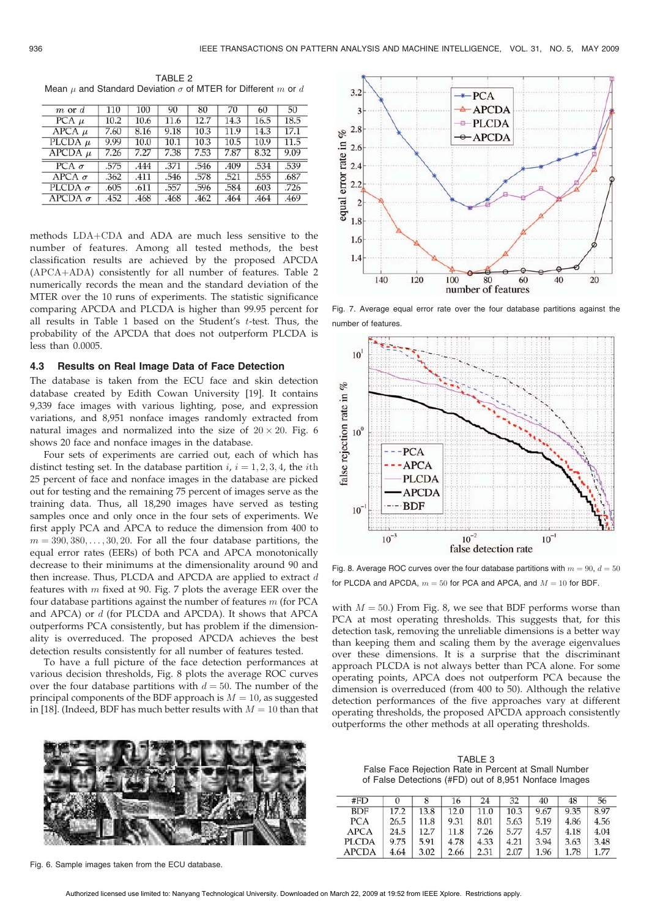| TABLE 2                                                                   |  |
|---------------------------------------------------------------------------|--|
| Mean $\mu$ and Standard Deviation $\sigma$ of MTER for Different m or $d$ |  |

| $m$ or $d$     | 110  | 100  | 90   | 80   | 70   | 60   | 50   |
|----------------|------|------|------|------|------|------|------|
| $PCA$ $\mu$    | 10.2 | 10.6 | 11.6 | 12.7 | 14.3 | 16.5 | 18.5 |
| $APCA$ $\mu$   | 7.60 | 8.16 | 9.18 | 10.3 | 11.9 | 14.3 | 17.1 |
| PLCDA $\mu$    | 9.99 | 10.0 | 10.1 | 10.3 | 10.5 | 10.9 | 11.5 |
| APCDA $\mu$    | 7.26 | 7.27 | 7.38 | 7.53 | 7.87 | 8.32 | 9.09 |
| PCA $\sigma$   | .575 | .444 | .371 | .546 | .409 | .534 | .539 |
| APCA $\sigma$  | .362 | .411 | .546 | .578 | .521 | .555 | .687 |
| PLCDA $\sigma$ | .605 | .611 | .557 | .596 | .584 | .603 | .726 |
| APCDA $\sigma$ | .452 | .468 | .468 | .462 | .464 | .464 | .469 |

methods  $LDA+CDA$  and  $ADA$  are much less sensitive to the number of features. Among all tested methods, the best classification results are achieved by the proposed APCDA  $APCA+ADA$ ) consistently for all number of features. Table 2 numerically records the mean and the standard deviation of the MTER over the 10 runs of experiments. The statistic significance comparing APCDA and PLCDA is higher than 99.95 percent for all results in Table 1 based on the Student's  $t$ -test. Thus, the probability of the APCDA that does not outperform PLCDA is less than 0.0005.

#### 4.3 Results on Real Image Data of Face Detection

The database is taken from the ECU face and skin detection database created by Edith Cowan University [19]. It contains 9,339 face images with various lighting, pose, and expression variations, and 8,951 nonface images randomly extracted from natural images and normalized into the size of  $20 \times 20$ . Fig. 6 shows 20 face and nonface images in the database.

Four sets of experiments are carried out, each of which has distinct testing set. In the database partition  $i, i = 1, 2, 3, 4$ , the *i*th 25 percent of face and nonface images in the database are picked out for testing and the remaining 75 percent of images serve as the training data. Thus, all 18,290 images have served as testing samples once and only once in the four sets of experiments. We first apply PCA and APCA to reduce the dimension from 400 to  $m = 390, 380, \ldots, 30, 20$ . For all the four database partitions, the equal error rates (EERs) of both PCA and APCA monotonically decrease to their minimums at the dimensionality around 90 and then increase. Thus, PLCDA and APCDA are applied to extract  $d$ features with  $m$  fixed at 90. Fig. 7 plots the average EER over the four database partitions against the number of features  $m$  (for PCA and APCA) or d (for PLCDA and APCDA). It shows that APCA outperforms PCA consistently, but has problem if the dimensionality is overreduced. The proposed APCDA achieves the best detection results consistently for all number of features tested.

To have a full picture of the face detection performances at various decision thresholds, Fig. 8 plots the average ROC curves over the four database partitions with  $d = 50$ . The number of the principal components of the BDF approach is  $M = 10$ , as suggested in [18]. (Indeed, BDF has much better results with  $M = 10$  than that



Fig. 6. Sample images taken from the ECU database.



Fig. 7. Average equal error rate over the four database partitions against the number of features.



Fig. 8. Average ROC curves over the four database partitions with  $m = 90$ ,  $d = 50$ for PLCDA and APCDA,  $m = 50$  for PCA and APCA, and  $M = 10$  for BDF.

with  $M = 50$ .) From Fig. 8, we see that BDF performs worse than PCA at most operating thresholds. This suggests that, for this detection task, removing the unreliable dimensions is a better way than keeping them and scaling them by the average eigenvalues over these dimensions. It is a surprise that the discriminant approach PLCDA is not always better than PCA alone. For some operating points, APCA does not outperform PCA because the dimension is overreduced (from 400 to 50). Although the relative detection performances of the five approaches vary at different operating thresholds, the proposed APCDA approach consistently outperforms the other methods at all operating thresholds.

TABLE 3 False Face Rejection Rate in Percent at Small Number of False Detections (#FD) out of 8,951 Nonface Images

| # $FD$       |      |      | 16   | 24   | 32   | 40   | 48   | 56   |
|--------------|------|------|------|------|------|------|------|------|
| <b>BDF</b>   | 17.2 | 13.8 | 12.0 | 11.0 | 10.3 | 9.67 | 9.35 | 8.97 |
| <b>PCA</b>   | 26.5 | 11.8 | 9.31 | 8.01 | 5.63 | 5.19 | 4.86 | 4.56 |
| <b>APCA</b>  | 24.5 | 12.7 | 11.8 | 7.26 | 5.77 | 4.57 | 4.18 | 4.04 |
| <b>PLCDA</b> | 9.75 | 5.91 | 4.78 | 4.33 | 4.21 | 3.94 | 3.63 | 3.48 |
| <b>APCDA</b> | 4.64 | 3.02 | 2.66 | 2.31 | 2.07 | 1.96 | 1.78 | 1.77 |